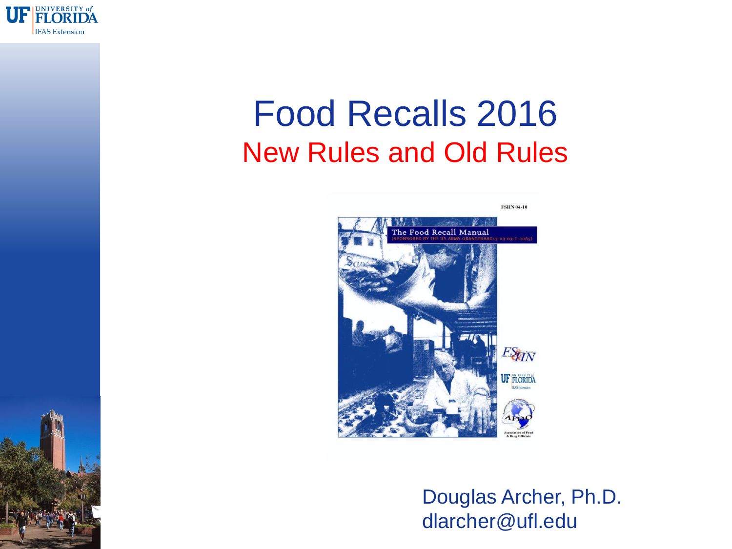

### Food Recalls 2016 New Rules and Old Rules



Douglas Archer, Ph.D. dlarcher@ufl.edu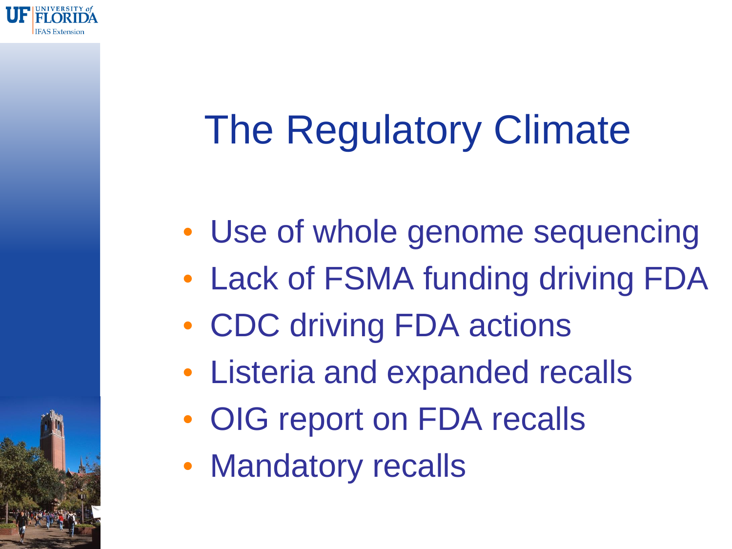

# The Regulatory Climate

- Use of whole genome sequencing
- Lack of FSMA funding driving FDA
- CDC driving FDA actions
- Listeria and expanded recalls
- OIG report on FDA recalls
- Mandatory recalls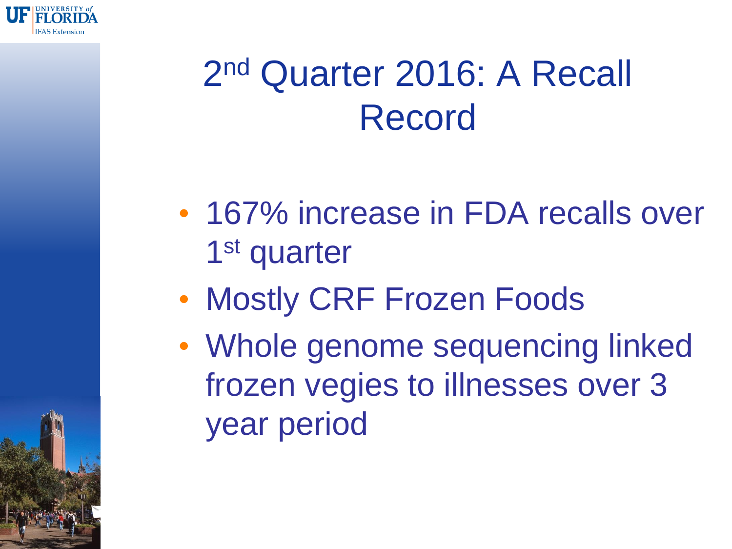

## 2 nd Quarter 2016: A Recall Record

- 167% increase in FDA recalls over 1<sup>st</sup> quarter
- Mostly CRF Frozen Foods
- Whole genome sequencing linked frozen vegies to illnesses over 3 year period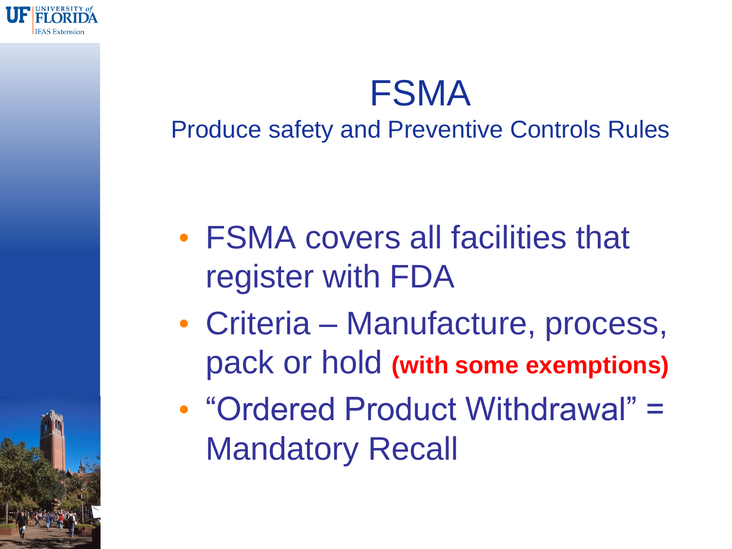

#### FSMA Produce safety and Preventive Controls Rules

- FSMA covers all facilities that register with FDA
- Criteria Manufacture, process, pack or hold **(with some exemptions)**
- "Ordered Product Withdrawal" = Mandatory Recall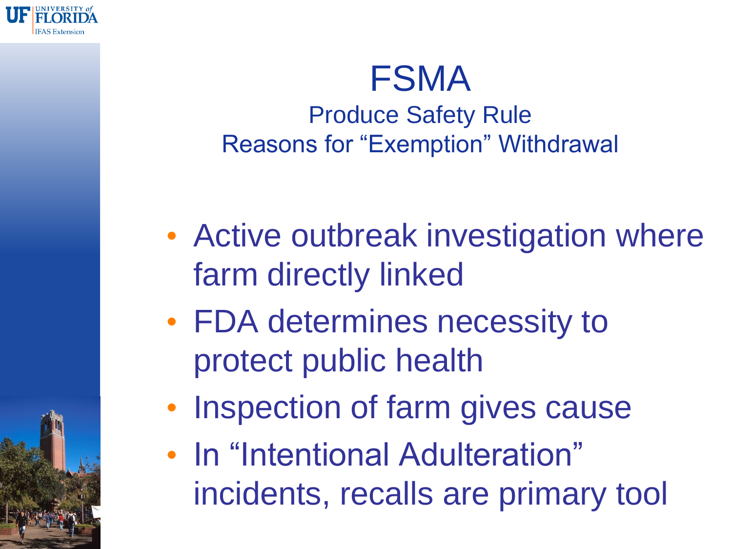

#### FSMA Produce Safety Rule Reasons for "Exemption" Withdrawal

- Active outbreak investigation where farm directly linked
- FDA determines necessity to protect public health
- Inspection of farm gives cause
- In "Intentional Adulteration" incidents, recalls are primary tool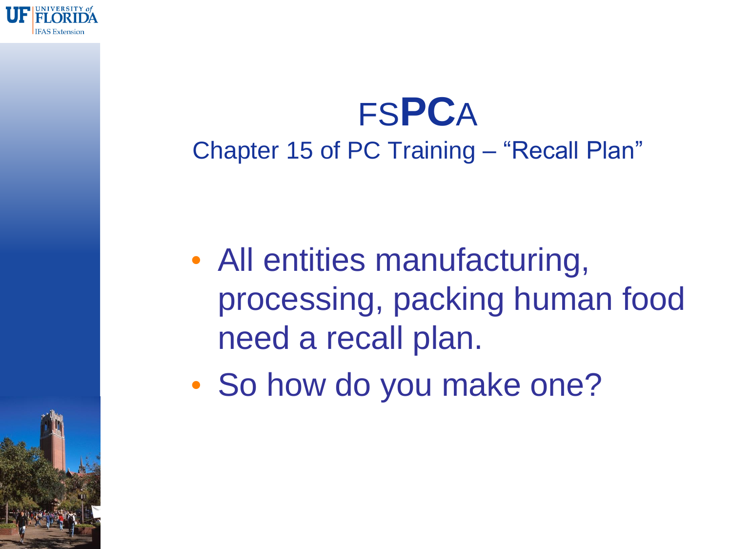

### FS**PC**A Chapter 15 of PC Training – "Recall Plan"

- All entities manufacturing, processing, packing human food need a recall plan.
- So how do you make one?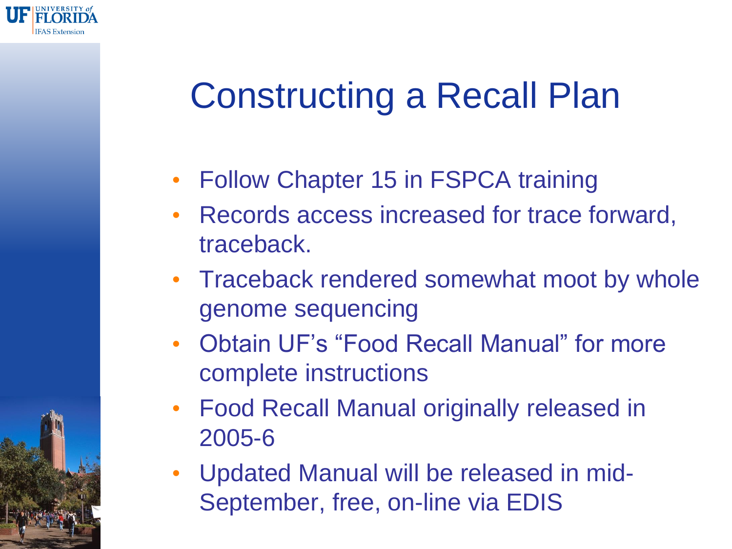

## Constructing a Recall Plan

- Follow Chapter 15 in FSPCA training
- Records access increased for trace forward, traceback.
- Traceback rendered somewhat moot by whole genome sequencing
- Obtain UF's "Food Recall Manual" for more complete instructions
- Food Recall Manual originally released in 2005-6
- Updated Manual will be released in mid-September, free, on-line via EDIS